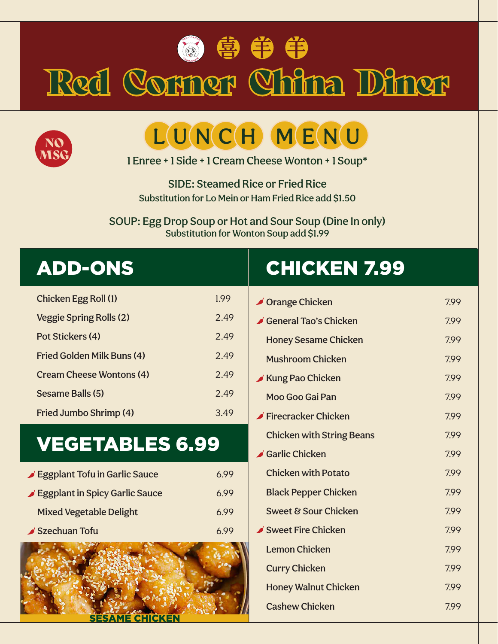



# Red Corner China Diner



## LUNCH MENU

1 Enree + 1 Side + 1 Cream Cheese Wonton + 1 Soup\*

SIDE: Steamed Rice or Fried Rice Substitution for Lo Mein or Ham Fried Rice add \$1.50

SOUP: Egg Drop Soup or Hot and Sour Soup (Dine In only) Substitution for Wonton Soup add \$1.99

| Chicken Egg Roll (1)            | 1.99 |
|---------------------------------|------|
| Veggie Spring Rolls (2)         | 2.49 |
| Pot Stickers (4)                | 2.49 |
| Fried Golden Milk Buns (4)      | 2.49 |
| <b>Cream Cheese Wontons (4)</b> | 2.49 |
| Sesame Balls (5)                | 2.49 |
| Fried Jumbo Shrimp (4)          | 3.49 |

#### VEGETABLES 6.99

| Eggplant Tofu in Garlic Sauce  | 699  |
|--------------------------------|------|
| Eggplant in Spicy Garlic Sauce | 6.99 |
| <b>Mixed Vegetable Delight</b> | 6.99 |
| Szechuan Tofu                  |      |



### ADD-ONS CHICKEN 7.99

| <b>∕ Orange Chicken</b>                   | 7.99 |
|-------------------------------------------|------|
| General Tao's Chicken                     | 7.99 |
| <b>Honey Sesame Chicken</b>               | 7.99 |
| <b>Mushroom Chicken</b>                   | 7.99 |
| Kung Pao Chicken                          | 7.99 |
| Moo Goo Gai Pan                           | 7.99 |
| $\blacktriangleright$ Firecracker Chicken | 7.99 |
| <b>Chicken with String Beans</b>          | 7.99 |
| Garlic Chicken                            | 7.99 |
| <b>Chicken with Potato</b>                | 7.99 |
| <b>Black Pepper Chicken</b>               | 7.99 |
| Sweet & Sour Chicken                      | 7.99 |
| Sweet Fire Chicken                        | 7.99 |
| <b>Lemon Chicken</b>                      | 7.99 |
| <b>Curry Chicken</b>                      | 7.99 |
| <b>Honey Walnut Chicken</b>               | 7.99 |
| <b>Cashew Chicken</b>                     | 7.99 |
|                                           |      |